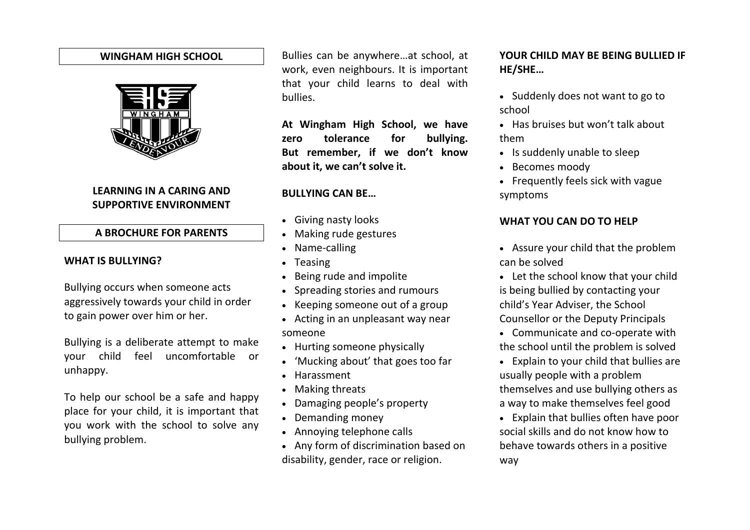#### **WINGHAM HIGH SCHOOL**



# **LEARNING IN A CARING AND SUPPORTIVE ENVIRONMENT**

#### **A BROCHURE FOR PARENTS**

#### **WHAT IS BULLYING?**

Bullying occurs when someone acts aggressively towards your child in order to gain power over him or her.

Bullying is a deliberate attempt to make your child feel uncomfortable or unhappy.

To help our school be a safe and happy place for your child, it is important that you work with the school to solve any bullying problem.

Bullies can be anywhere…at school, at work, even neighbours. It is important that your child learns to deal with bullies.

**At Wingham High School, we have zero tolerance for bullying. But remember, if we don't know about it, we can't solve it.**

#### **BULLYING CAN BE…**

- Giving nasty looks
- Making rude gestures
- Name-calling
- Teasing
- Being rude and impolite
- Spreading stories and rumours
- Keeping someone out of a group
- Acting in an unpleasant way near someone
- Hurting someone physically
- 'Mucking about' that goes too far
- Harassment
- Making threats
- Damaging people's property
- Demanding money
- Annoying telephone calls
- Any form of discrimination based on disability, gender, race or religion.

# **YOUR CHILD MAY BE BEING BULLIED IF HE/SHE…**

- Suddenly does not want to go to school
- Has bruises but won't talk about them
- Is suddenly unable to sleep
- Becomes moody
- Frequently feels sick with vague symptoms

## **WHAT YOU CAN DO TO HELP**

- Assure your child that the problem can be solved
- Let the school know that your child is being bullied by contacting your child's Year Adviser, the School Counsellor or the Deputy Principals
- Communicate and co-operate with the school until the problem is solved
- Explain to your child that bullies are usually people with a problem themselves and use bullying others as a way to make themselves feel good
- Explain that bullies often have poor social skills and do not know how to behave towards others in a positive way